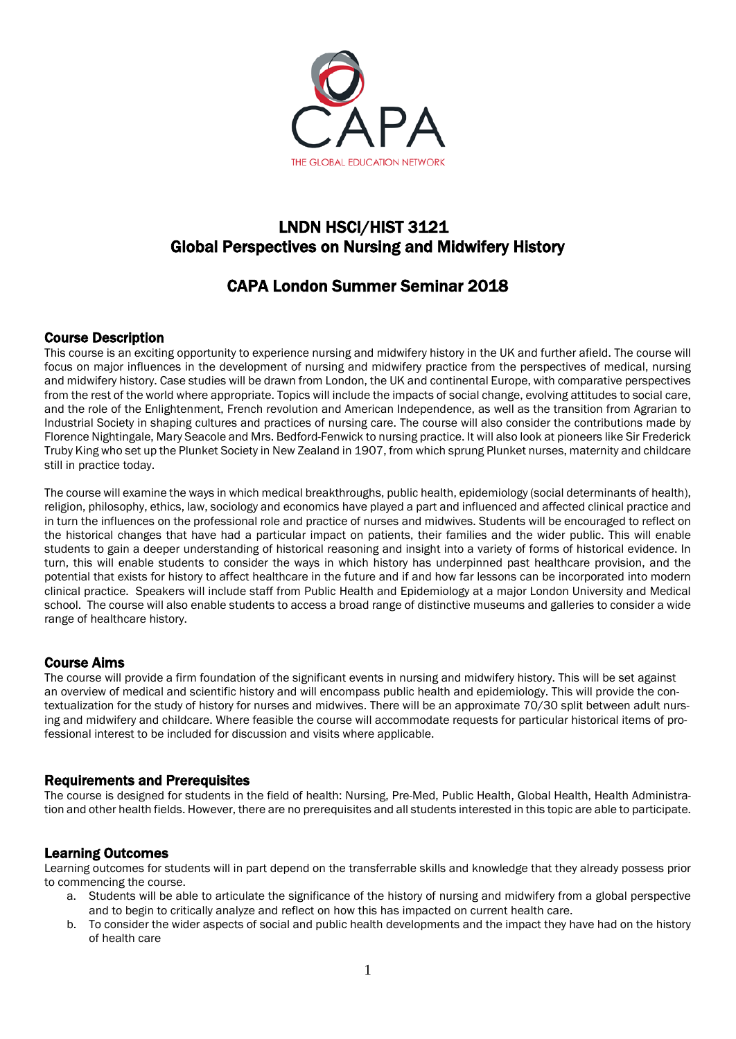

## LNDN HSCI/HIST 3121 Global Perspectives on Nursing and Midwifery History

# CAPA London Summer Seminar 2018

## Course Description

This course is an exciting opportunity to experience nursing and midwifery history in the UK and further afield. The course will focus on major influences in the development of nursing and midwifery practice from the perspectives of medical, nursing and midwifery history. Case studies will be drawn from London, the UK and continental Europe, with comparative perspectives from the rest of the world where appropriate. Topics will include the impacts of social change, evolving attitudes to social care, and the role of the Enlightenment, French revolution and American Independence, as well as the transition from Agrarian to Industrial Society in shaping cultures and practices of nursing care. The course will also consider the contributions made by Florence Nightingale, Mary Seacole and Mrs. Bedford-Fenwick to nursing practice. It will also look at pioneers like Sir Frederick Truby King who set up the Plunket Society in New Zealand in 1907, from which sprung Plunket nurses, maternity and childcare still in practice today.

The course will examine the ways in which medical breakthroughs, public health, epidemiology (social determinants of health), religion, philosophy, ethics, law, sociology and economics have played a part and influenced and affected clinical practice and in turn the influences on the professional role and practice of nurses and midwives. Students will be encouraged to reflect on the historical changes that have had a particular impact on patients, their families and the wider public. This will enable students to gain a deeper understanding of historical reasoning and insight into a variety of forms of historical evidence. In turn, this will enable students to consider the ways in which history has underpinned past healthcare provision, and the potential that exists for history to affect healthcare in the future and if and how far lessons can be incorporated into modern clinical practice. Speakers will include staff from Public Health and Epidemiology at a major London University and Medical school. The course will also enable students to access a broad range of distinctive museums and galleries to consider a wide range of healthcare history.

## Course Aims

The course will provide a firm foundation of the significant events in nursing and midwifery history. This will be set against an overview of medical and scientific history and will encompass public health and epidemiology. This will provide the contextualization for the study of history for nurses and midwives. There will be an approximate 70/30 split between adult nursing and midwifery and childcare. Where feasible the course will accommodate requests for particular historical items of professional interest to be included for discussion and visits where applicable.

## Requirements and Prerequisites

The course is designed for students in the field of health: Nursing, Pre-Med, Public Health, Global Health, Health Administration and other health fields. However, there are no prerequisites and all students interested in this topic are able to participate.

## Learning Outcomes

Learning outcomes for students will in part depend on the transferrable skills and knowledge that they already possess prior to commencing the course.

- a. Students will be able to articulate the significance of the history of nursing and midwifery from a global perspective and to begin to critically analyze and reflect on how this has impacted on current health care.
- b. To consider the wider aspects of social and public health developments and the impact they have had on the history of health care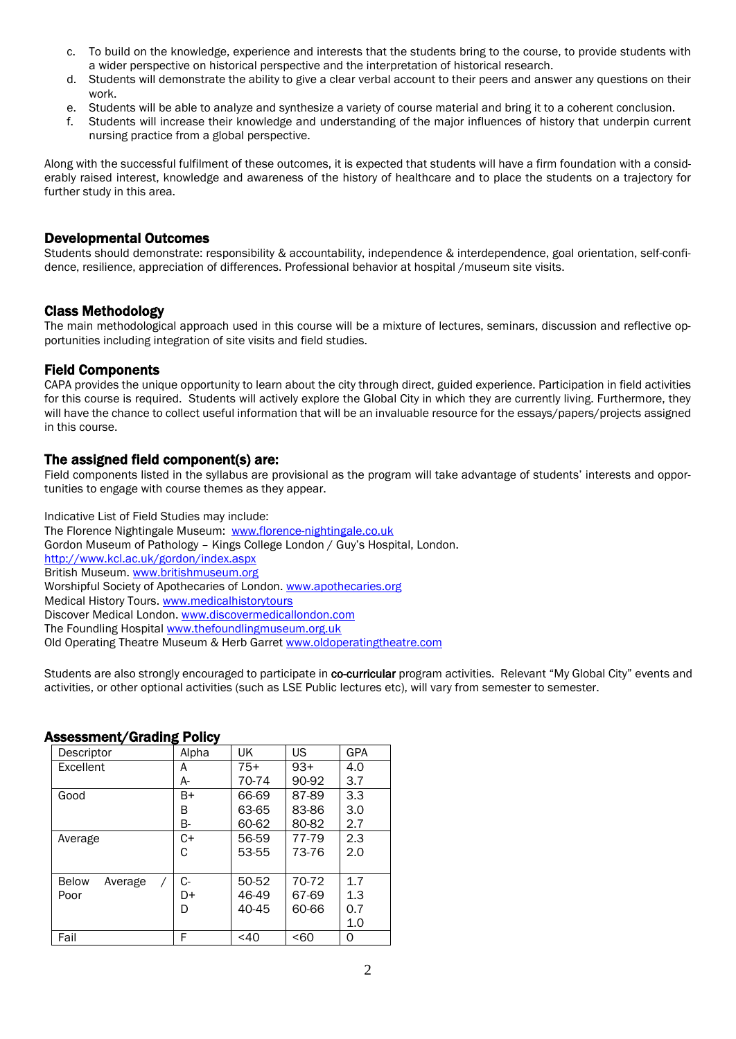- c. To build on the knowledge, experience and interests that the students bring to the course, to provide students with a wider perspective on historical perspective and the interpretation of historical research.
- d. Students will demonstrate the ability to give a clear verbal account to their peers and answer any questions on their work.
- e. Students will be able to analyze and synthesize a variety of course material and bring it to a coherent conclusion.
- f. Students will increase their knowledge and understanding of the major influences of history that underpin current nursing practice from a global perspective.

Along with the successful fulfilment of these outcomes, it is expected that students will have a firm foundation with a considerably raised interest, knowledge and awareness of the history of healthcare and to place the students on a trajectory for further study in this area.

#### Developmental Outcomes

Students should demonstrate: responsibility & accountability, independence & interdependence, goal orientation, self-confidence, resilience, appreciation of differences. Professional behavior at hospital /museum site visits.

## Class Methodology

The main methodological approach used in this course will be a mixture of lectures, seminars, discussion and reflective opportunities including integration of site visits and field studies.

## Field Components

CAPA provides the unique opportunity to learn about the city through direct, guided experience. Participation in field activities for this course is required. Students will actively explore the Global City in which they are currently living. Furthermore, they will have the chance to collect useful information that will be an invaluable resource for the essays/papers/projects assigned in this course.

## The assigned field component(s) are:

Field components listed in the syllabus are provisional as the program will take advantage of students' interests and opportunities to engage with course themes as they appear.

Indicative List of Field Studies may include: The Florence Nightingale Museum: [www.florence-nightingale.co.uk](http://www.florence-nightingale.co.uk/) Gordon Museum of Pathology – Kings College London / Guy's Hospital, London. <http://www.kcl.ac.uk/gordon/index.aspx> British Museum. [www.britishmuseum.org](http://www.britishmuseum.org/) Worshipful Society of Apothecaries of London[. www.apothecaries.org](http://www.apothecaries.org/) Medical History Tours[. www.medicalhistorytours](http://www.medicalhistorytours/) Discover Medical London. [www.discovermedicallondon.com](http://www.discovermedicallondon.com/) The Foundling Hospital [www.thefoundlingmuseum.org.uk](http://www.thefoundlingmuseum.org.uk/) Old Operating Theatre Museum & Herb Garret [www.oldoperatingtheatre.com](http://www.oldoperatingtheatre.com/)

Students are also strongly encouraged to participate in co-curricular program activities. Relevant "My Global City" events and activities, or other optional activities (such as LSE Public lectures etc), will vary from semester to semester.

#### Descriptor Alpha UK US GPA<br>Excellent A 75+ 93+ 4.0 Excellent  $\frac{A}{B+}$ 75+ 70-74 93+ 90-92 4.0 3.7 Good B B-66-69 63-65 60-62 87-89 83-86 80-82 3.3 3.0 2.7 Average C+ C 56-59 53-55 77-79 73-76 2.3 2.0 Below Average Poor C- $D+$ D 50-52 46-49 40-45 70-72 67-69 60-66 1.7 1.3 0.7 1.0 Fail | F | <40 | <60 | 0

#### Assessment/Grading Policy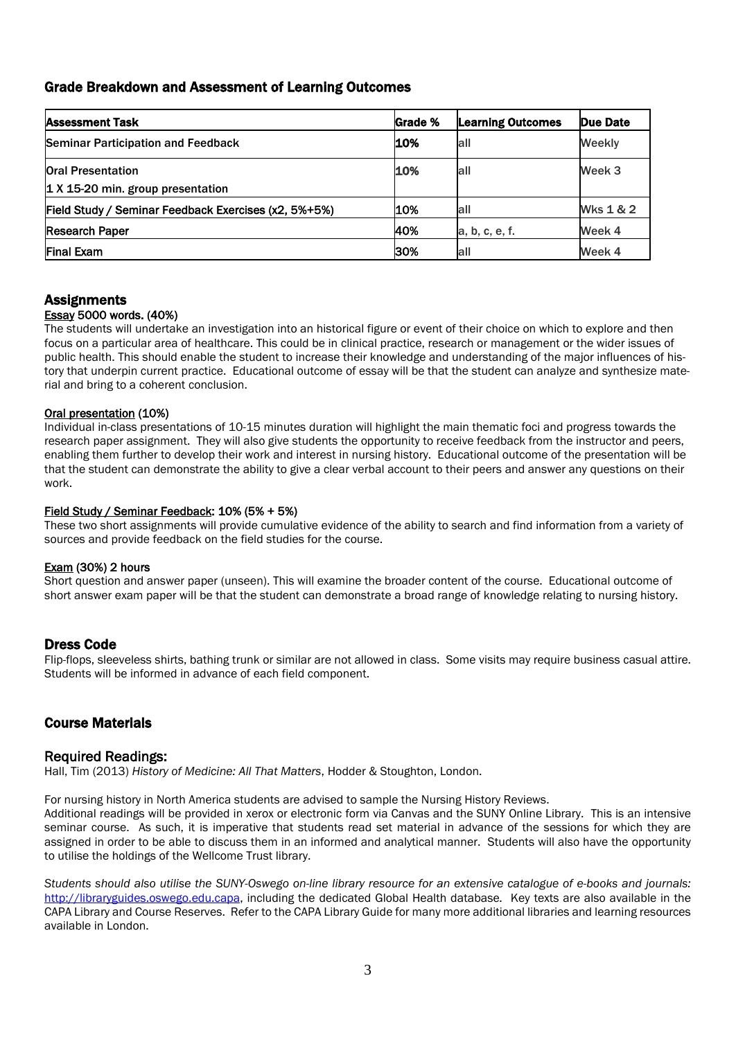## Grade Breakdown and Assessment of Learning Outcomes

| <b>Assessment Task</b>                               | <b>Grade %</b> | <b>Learning Outcomes</b> | Due Date  |
|------------------------------------------------------|----------------|--------------------------|-----------|
| <b>Seminar Participation and Feedback</b>            | 10%            | lall                     | Weekly    |
| <b>Oral Presentation</b>                             | 10%            | all                      | Week 3    |
| $\vert$ 1 X 15-20 min. group presentation            |                |                          |           |
| Field Study / Seminar Feedback Exercises (x2, 5%+5%) | 10%            | all                      | Wks 1 & 2 |
| <b>Research Paper</b>                                | 40%            | a, b, c, e, f.           | Week 4    |
| <b>Final Exam</b>                                    | 30%            | lall                     | Week 4    |

#### **Assignments** Essay 5000 words. (40%)

The students will undertake an investigation into an historical figure or event of their choice on which to explore and then focus on a particular area of healthcare. This could be in clinical practice, research or management or the wider issues of public health. This should enable the student to increase their knowledge and understanding of the major influences of history that underpin current practice. Educational outcome of essay will be that the student can analyze and synthesize material and bring to a coherent conclusion.

#### Oral presentation (10%)

Individual in-class presentations of 10-15 minutes duration will highlight the main thematic foci and progress towards the research paper assignment. They will also give students the opportunity to receive feedback from the instructor and peers, enabling them further to develop their work and interest in nursing history. Educational outcome of the presentation will be that the student can demonstrate the ability to give a clear verbal account to their peers and answer any questions on their work.

#### Field Study / Seminar Feedback: 10% (5% + 5%)

These two short assignments will provide cumulative evidence of the ability to search and find information from a variety of sources and provide feedback on the field studies for the course.

#### Exam (30%) 2 hours

Short question and answer paper (unseen). This will examine the broader content of the course. Educational outcome of short answer exam paper will be that the student can demonstrate a broad range of knowledge relating to nursing history.

#### Dress Code

Flip-flops, sleeveless shirts, bathing trunk or similar are not allowed in class. Some visits may require business casual attire. Students will be informed in advance of each field component.

## Course Materials

**Required Readings: Hall Readings:** Hall, Tim (2013) *History of Medicine: All That Matters*, Hodder & Stoughton, London.

For nursing history in North America students are advised to sample the Nursing History Reviews.

Additional readings will be provided in xerox or electronic form via Canvas and the SUNY Online Library. This is an intensive seminar course. As such, it is imperative that students read set material in advance of the sessions for which they are assigned in order to be able to discuss them in an informed and analytical manner. Students will also have the opportunity to utilise the holdings of the Wellcome Trust library.

*Students should also utilise the SUNY-Oswego on-line library resource for an extensive catalogue of e-books and journals:*  [http://libraryguides.oswego.edu.capa,](http://libraryguides.oswego.edu.capa/) including the dedicated Global Health database*.* Key texts are also available in the CAPA Library and Course Reserves. Refer to the CAPA Library Guide for many more additional libraries and learning resources available in London.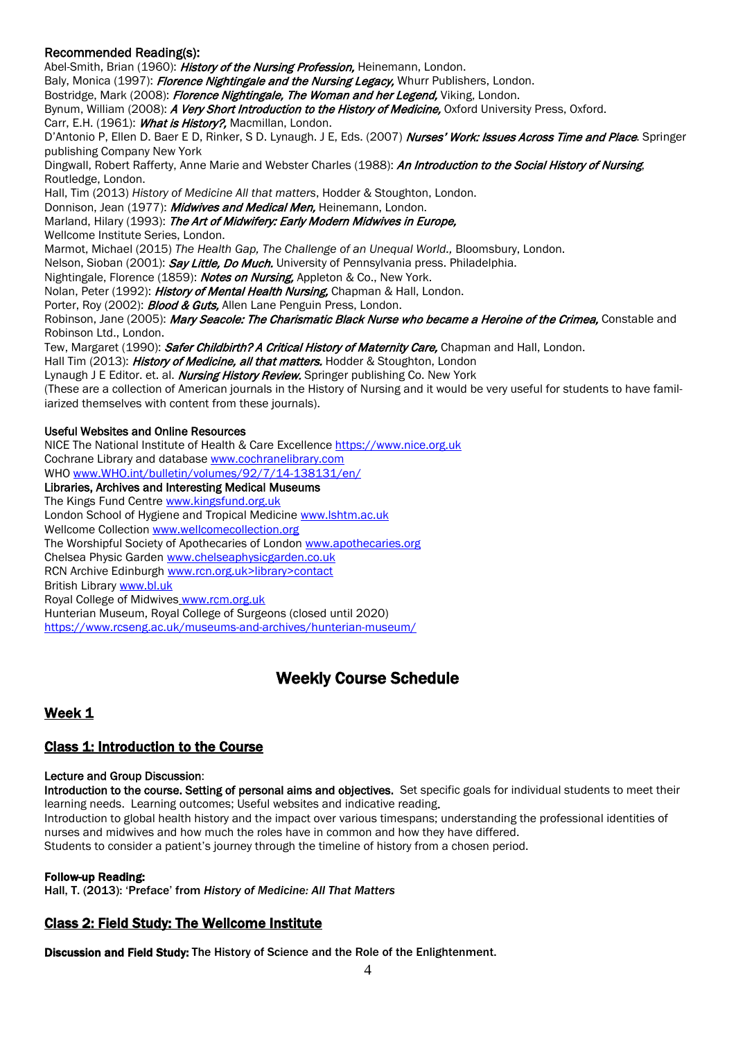## Recommended Reading(s):

Abel-Smith, Brian (1960): History of the Nursing Profession, Heinemann, London.

Baly, Monica (1997): Florence Nightingale and the Nursing Legacy, Whurr Publishers, London.

Bostridge, Mark (2008): Florence Nightingale, The Woman and her Legend, Viking, London.

Bynum, William (2008): A Very Short Introduction to the History of Medicine, Oxford University Press, Oxford.

Carr, E.H. (1961): What is History?, Macmillan, London.

D'Antonio P, Ellen D. Baer E D, Rinker, S D. Lynaugh. J E, Eds. (2007) Nurses' Work: Issues Across Time and Place. Springer publishing Company New York

Dingwall, Robert Rafferty, Anne Marie and Webster Charles (1988): An Introduction to the Social History of Nursing, Routledge, London.

Hall, Tim (2013) *History of Medicine All that matters*, Hodder & Stoughton, London.

Donnison, Jean (1977): Midwives and Medical Men, Heinemann, London.

Marland, Hilary (1993): The Art of Midwifery: Early Modern Midwives in Europe,

Wellcome Institute Series, London.

Marmot, Michael (2015) *The Health Gap, The Challenge of an Unequal World.,* Bloomsbury, London.

Nelson, Sioban (2001): Say Little, Do Much. University of Pennsylvania press. Philadelphia.

Nightingale, Florence (1859): Notes on Nursing, Appleton & Co., New York.

Nolan, Peter (1992): *History of Mental Health Nursing*, Chapman & Hall, London.

Porter, Roy (2002): **Blood & Guts,** Allen Lane Penguin Press, London.

Robinson, Jane (2005): Mary Seacole: The Charismatic Black Nurse who became a Heroine of the Crimea, Constable and Robinson Ltd., London.

Tew, Margaret (1990): Safer Childbirth? A Critical History of Maternity Care, Chapman and Hall, London.

Hall Tim (2013): History of Medicine, all that matters. Hodder & Stoughton, London

Lynaugh J E Editor. et. al. *Nursing History Review*. Springer publishing Co. New York

(These are a collection of American journals in the History of Nursing and it would be very useful for students to have familiarized themselves with content from these journals).

#### Useful Websites and Online Resources

NICE The National Institute of Health & Care Excellence [https://www.nice.org.uk](https://www.nice.org.uk/) Cochrane Library and database [www.cochranelibrary.com](http://www.cochranelibrary.com/)

WHO [www.WHO.int/bulletin/volumes/92/7/14-138131/en/](http://www.who.int/bulletin/volumes/92/7/14-138131/en/)

Libraries, Archives and Interesting Medical Museums

The Kings Fund Centre [www.kingsfund.org.uk](http://www.kingsfund.org.uk/) 

London School of Hygiene and Tropical Medicine [www.lshtm.ac.uk](http://www.lshtm.ac.uk/)

Wellcome Collection [www.wellcomecollection.org](http://www.wellcomecollection.org/)

The Worshipful Society of Apothecaries of London [www.apothecaries.org](http://www.apothecaries.org/)

Chelsea Physic Garden [www.chelseaphysicgarden.co.uk](http://www.chelseaphysicgarden.co.uk/)

RCN Archive Edinburgh www.rcn.org.uk>library>contact

British Librar[y www.bl.uk](http://www.bl.uk/)

Royal College of Midwives [www.rcm.org.uk](http://www.rcm.org.uk/)

Hunterian Museum, Royal College of Surgeons (closed until 2020)

<https://www.rcseng.ac.uk/museums-and-archives/hunterian-museum/>

## Weekly Course Schedule

## Week 1

## Class 1: Introduction to the Course

#### Lecture and Group Discussion:

Introduction to the course. Setting of personal aims and objectives. Set specific goals for individual students to meet their learning needs. Learning outcomes; Useful websites and indicative reading.

Introduction to global health history and the impact over various timespans; understanding the professional identities of nurses and midwives and how much the roles have in common and how they have differed. Students to consider a patient's journey through the timeline of history from a chosen period.

Follow-up Reading:

Hall, T. (2013): 'Preface' from *History of Medicine: All That Matters*

## Class 2: Field Study: The Wellcome Institute

Discussion and Field Study: The History of Science and the Role of the Enlightenment.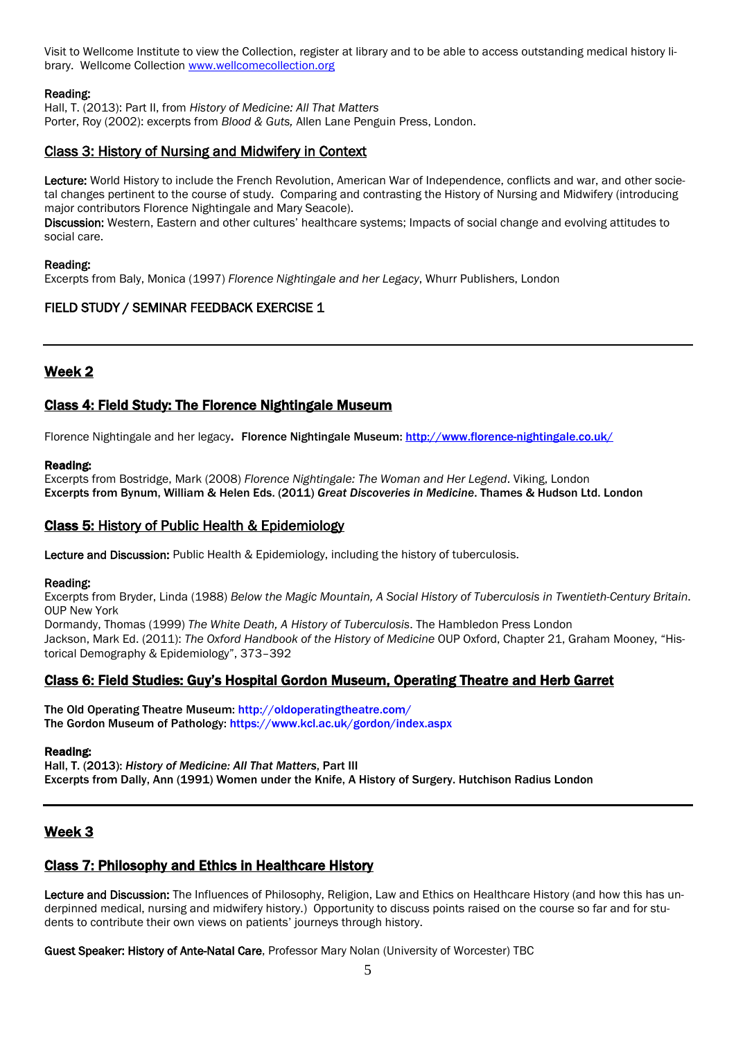Visit to Wellcome Institute to view the Collection, register at library and to be able to access outstanding medical history library. Wellcome Collection [www.wellcomecollection.org](http://www.wellcomecollection.org/)

#### Reading:

Hall, T. (2013): Part II, from *History of Medicine: All That Matters* Porter, Roy (2002): excerpts from *Blood & Guts,* Allen Lane Penguin Press, London.

## Class 3: History of Nursing and Midwifery in Context

Lecture: World History to include the French Revolution, American War of Independence, conflicts and war, and other societal changes pertinent to the course of study. Comparing and contrasting the History of Nursing and Midwifery (introducing major contributors Florence Nightingale and Mary Seacole).

Discussion: Western, Eastern and other cultures' healthcare systems; Impacts of social change and evolving attitudes to social care.

#### Reading:

Excerpts from Baly, Monica (1997) *Florence Nightingale and her Legacy*, Whurr Publishers, London

## FIELD STUDY / SEMINAR FEEDBACK EXERCISE 1

## Week 2

## Class 4: Field Study: The Florence Nightingale Museum

Florence Nightingale and her legacy. Florence Nightingale Museum:<http://www.florence-nightingale.co.uk/>

#### Reading:

Excerpts from Bostridge, Mark (2008) *Florence Nightingale: The Woman and Her Legend*. Viking, London Excerpts from Bynum, William & Helen Eds. (2011) *Great Discoveries in Medicine*. Thames & Hudson Ltd. London

### Class 5: History of Public Health & Epidemiology

Lecture and Discussion: Public Health & Epidemiology, including the history of tuberculosis.

#### Reading:

Excerpts from Bryder, Linda (1988) *Below the Magic Mountain, A Social History of Tuberculosis in Twentieth-Century Britain*. OUP New York

Dormandy, Thomas (1999) *The White Death, A History of Tuberculosis*. The Hambledon Press London Jackson, Mark Ed. (2011): *The Oxford Handbook of the History of Medicine* OUP Oxford, Chapter 21, Graham Mooney, "Historical Demography & Epidemiology", 373–392

#### Class 6: Field Studies: Guy's Hospital Gordon Museum, Operating Theatre and Herb Garret

The Old Operating Theatre Museum[: http://oldoperatingtheatre.com/](http://oldoperatingtheatre.com/) The Gordon Museum of Pathology:<https://www.kcl.ac.uk/gordon/index.aspx>

#### Reading:

Hall, T. (2013): *History of Medicine: All That Matters*, Part III Excerpts from Dally, Ann (1991) Women under the Knife, A History of Surgery. Hutchison Radius London

## Week 3

## Class 7: Philosophy and Ethics in Healthcare History

Lecture and Discussion: The Influences of Philosophy, Religion, Law and Ethics on Healthcare History (and how this has underpinned medical, nursing and midwifery history.) Opportunity to discuss points raised on the course so far and for students to contribute their own views on patients' journeys through history.

Guest Speaker: History of Ante-Natal Care, Professor Mary Nolan (University of Worcester) TBC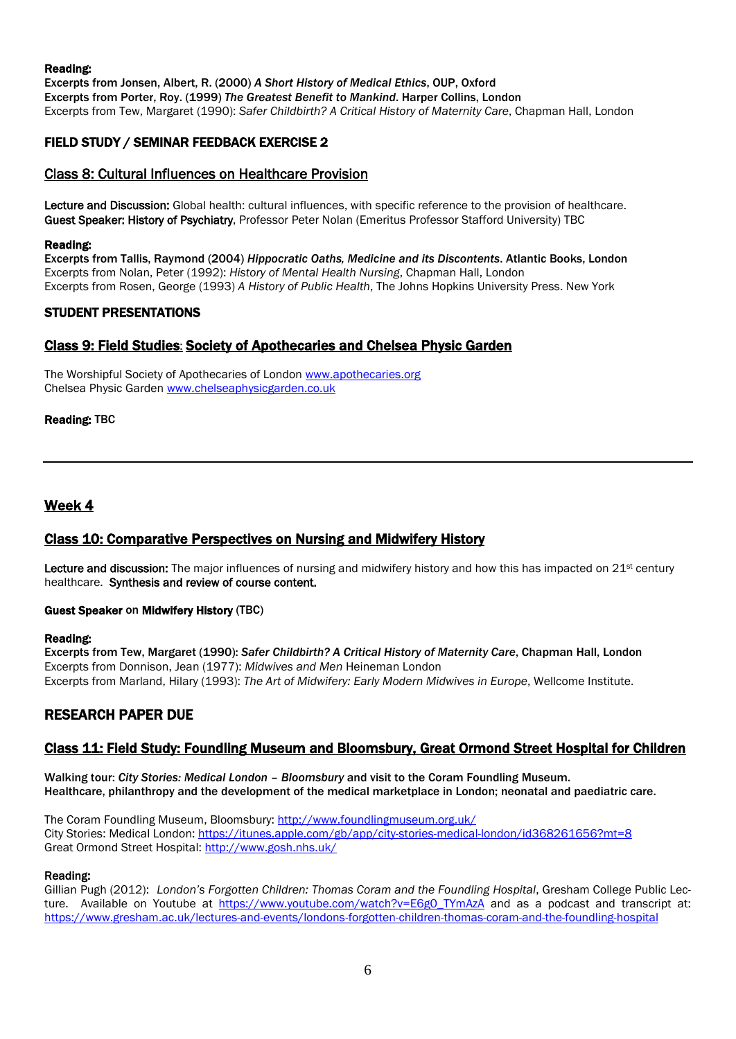#### Reading:

Excerpts from Jonsen, Albert, R. (2000) *A Short History of Medical Ethics*, OUP, Oxford Excerpts from Porter, Roy. (1999) *The Greatest Benefit to Mankind*. Harper Collins, London Excerpts from Tew, Margaret (1990): *Safer Childbirth? A Critical History of Maternity Care*, Chapman Hall, London

## FIELD STUDY / SEMINAR FEEDBACK EXERCISE 2

## Class 8: Cultural Influences on Healthcare Provision

Lecture and Discussion: Global health: cultural influences, with specific reference to the provision of healthcare. Guest Speaker: History of Psychiatry, Professor Peter Nolan (Emeritus Professor Stafford University) TBC

#### Reading:

Excerpts from Tallis, Raymond (2004) *Hippocratic Oaths, Medicine and its Discontents*. Atlantic Books, London Excerpts from Nolan, Peter (1992): *History of Mental Health Nursing*, Chapman Hall, London Excerpts from Rosen, George (1993) *A History of Public Health*, The Johns Hopkins University Press. New York

## STUDENT PRESENTATIONS

## Class 9: Field Studies: Society of Apothecaries and Chelsea Physic Garden

The Worshipful Society of Apothecaries of London [www.apothecaries.org](http://www.apothecaries.org/) Chelsea Physic Garden [www.chelseaphysicgarden.co.uk](http://www.chelseaphysicgarden.co.uk/)

#### Reading: TBC

## Week 4

## Class 10: Comparative Perspectives on Nursing and Midwifery History

Lecture and discussion: The major influences of nursing and midwifery history and how this has impacted on 21<sup>st</sup> century healthcare. Synthesis and review of course content.

#### Guest Speaker on Midwifery History (TBC)

#### Reading:

Excerpts from Tew, Margaret (1990): *Safer Childbirth? A Critical History of Maternity Care*, Chapman Hall, London Excerpts from Donnison, Jean (1977): *Midwives and Men* Heineman London Excerpts from Marland, Hilary (1993): *The Art of Midwifery: Early Modern Midwives in Europe*, Wellcome Institute.

## RESEARCH PAPER DUE

## Class 11: Field Study: Foundling Museum and Bloomsbury, Great Ormond Street Hospital for Children

Walking tour: *City Stories: Medical London – Bloomsbury* and visit to the Coram Foundling Museum. Healthcare, philanthropy and the development of the medical marketplace in London; neonatal and paediatric care.

The Coram Foundling Museum, Bloomsbury[: http://www.foundlingmuseum.org.uk/](http://www.foundlingmuseum.org.uk/) City Stories: Medical London:<https://itunes.apple.com/gb/app/city-stories-medical-london/id368261656?mt=8> Great Ormond Street Hospital[: http://www.gosh.nhs.uk/](http://www.gosh.nhs.uk/)

#### Reading:

Gillian Pugh (2012): *London's Forgotten Children: Thomas Coram and the Foundling Hospital*, Gresham College Public Lecture. Available on Youtube at [https://www.youtube.com/watch?v=E6g0\\_TYmAzA](https://www.youtube.com/watch?v=E6g0_TYmAzA) and as a podcast and transcript at: <https://www.gresham.ac.uk/lectures-and-events/londons-forgotten-children-thomas-coram-and-the-foundling-hospital>